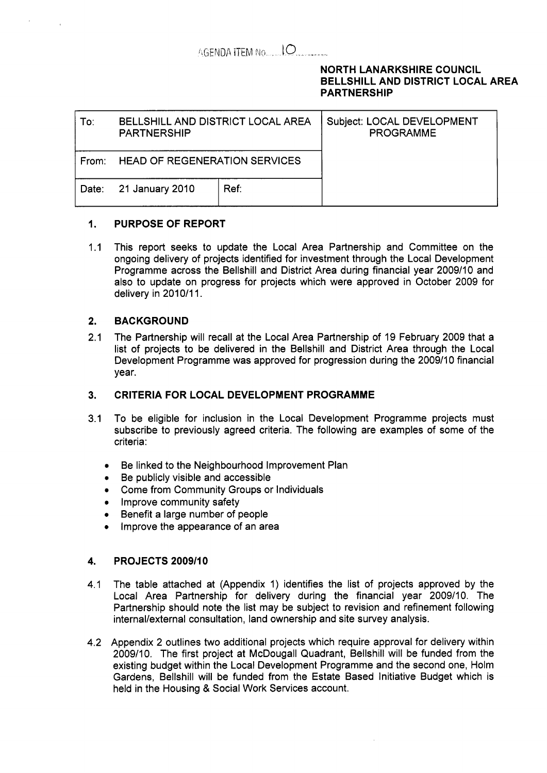## AGENDA ITEM No...... IO

### **NORTH LANARKSHIRE COUNCIL BELLSHILL AND DISTRICT LOCAL AREA PARTNERSHIP**

| To:   | BELLSHILL AND DISTRICT LOCAL AREA<br><b>PARTNERSHIP</b> |      | Subject: LOCAL DEVELOPMENT<br><b>PROGRAMME</b> |
|-------|---------------------------------------------------------|------|------------------------------------------------|
| From: | <b>HEAD OF REGENERATION SERVICES</b>                    |      |                                                |
| Date: | 21 January 2010                                         | Ref: |                                                |

#### $1<sub>1</sub>$ **PURPOSE OF REPORT**

1.1 This report seeks to update the Local Area Partnership and Committee on the ongoing delivery of projects identified for investment through the Local Development Programme across the Bellshill and District Area during financial year 2009/10 and also to update on progress for projects which were approved in October 2009 for delivery in 2010/11.

## **2. BACKGROUND**

2.1 The Partnership will recall at the Local Area Partnership of 19 February 2009 that a list of projects to be delivered in the Bellshill and District Area through the Local Development Programme was approved for progression during the 2009/10 financial year.

## **3. CRITERIA FOR LOCAL DEVELOPMENT PROGRAMME**

- 3.1 To be eligible for inclusion in the Local Development Programme projects must subscribe to previously agreed criteria. The following are examples of some of the criteria:
	- *0*  Be linked to the Neighbourhood Improvement Plan
	- *0*  Be publicly visible and accessible
	- *0*  Come from Community Groups or Individuals
	- **•** Improve community safety
	- *0*  Benefit a large number of people
	- *0*  Improve the appearance of an area

#### **4. PROJECTS 2009/10**

- 4.1 The table attached at (Appendix 1) identifies the list of projects approved by the Local Area Partnership for delivery during the financial year 2009/10. The Partnership should note the list may be subject to revision and refinement following internal/external consultation, land ownership and site survey analysis.
- 4.2 Appendix 2 outlines two additional projects which require approval for delivery within 2009/10. The first project at McDougall Quadrant, Bellshill will be funded from the existing budget within the Local Development Programme and the second one, Holm Gardens, Bellshill will be funded from the Estate Based Initiative Budget which is held in the Housing & Social Work Services account.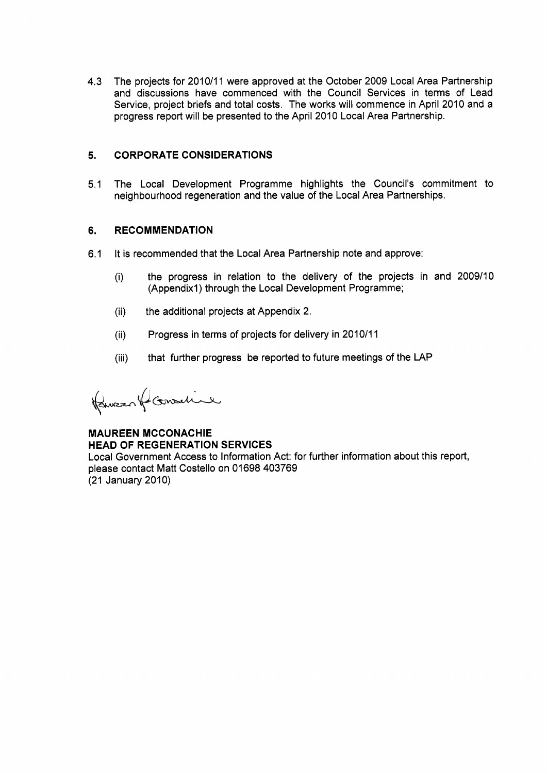4.3 The projects for 2010/11 were approved at the October 2009 Local Area Partnership and discussions have commenced with the Council Services in terms of Lead Service, project briefs and total costs. The works will commence in April 2010 and a progress report will be presented to the April 2010 Local Area Partnership.

### **5. CORPORATE CONSIDERATIONS**

5.1 The Local Development Programme highlights the Council's commitment to neighbourhood regeneration and the value of the Local Area Partnerships.

#### **6. RECOMMENDATION**

- 6.1 It is recommended that the Local Area Partnership note and approve:
	- (i) the progress in relation to the delivery of the projects in and 2009/10 (Appendix1) through the Local Development Programme;
	- (ii) the additional projects at Appendix 2.
	- (ii) Progress in terms of projects for delivery in 2010/11
	- (iii) that further progress be reported to future meetings of the LAP

Remercan formative

**MAUREEN MCCONACHIE HEAD OF REGENERATION SERVICES**  Local Government Access to Information Act: for further information about this report, please contact Matt Costello on 01698 403769 (21 January 2010)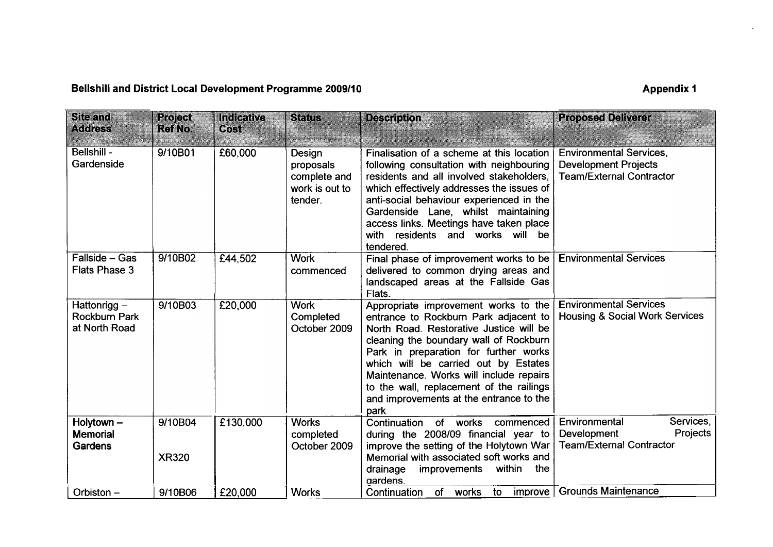# **Bellshill and District Local Development Programme 2009/10** Appendix 1

 $\Delta \phi$ 

| <b>Site and</b><br><b>Address</b>                    | <b>Project</b><br><b>RefNo</b> | <b>Indicative</b><br>6031 | Status                                                           | <b>Description</b>                                                                                                                                                                                                                                                                                                                                                                            | <b>Proposed Deliverer</b>                                                                        |
|------------------------------------------------------|--------------------------------|---------------------------|------------------------------------------------------------------|-----------------------------------------------------------------------------------------------------------------------------------------------------------------------------------------------------------------------------------------------------------------------------------------------------------------------------------------------------------------------------------------------|--------------------------------------------------------------------------------------------------|
| Bellshill -<br>Gardenside                            | 9/10B01                        | £60,000                   | Design<br>proposals<br>complete and<br>work is out to<br>tender. | Finalisation of a scheme at this location<br>following consultation with neighbouring<br>residents and all involved stakeholders,<br>which effectively addresses the issues of<br>anti-social behaviour experienced in the<br>Gardenside Lane, whilst maintaining<br>access links. Meetings have taken place<br>with residents and works will be<br>tendered.                                 | <b>Environmental Services,</b><br><b>Development Projects</b><br><b>Team/External Contractor</b> |
| Fallside - Gas<br><b>Flats Phase 3</b>               | 9/10B02                        | £44,502                   | <b>Work</b><br>commenced                                         | Final phase of improvement works to be<br>delivered to common drying areas and<br>landscaped areas at the Fallside Gas<br>Flats.                                                                                                                                                                                                                                                              | <b>Environmental Services</b>                                                                    |
| Hattonrigg-<br><b>Rockburn Park</b><br>at North Road | 9/10B03                        | £20,000                   | <b>Work</b><br>Completed<br>October 2009                         | Appropriate improvement works to the<br>entrance to Rockburn Park adjacent to<br>North Road. Restorative Justice will be<br>cleaning the boundary wall of Rockburn<br>Park in preparation for further works<br>which will be carried out by Estates<br>Maintenance. Works will include repairs<br>to the wall, replacement of the railings<br>and improvements at the entrance to the<br>park | <b>Environmental Services</b><br><b>Housing &amp; Social Work Services</b>                       |
| Holytown $-$<br><b>Memorial</b><br>Gardens           | 9/10B04<br><b>XR320</b>        | £130,000                  | <b>Works</b><br>completed<br>October 2009                        | of<br>works<br>Continuation<br>commenced<br>during the 2008/09 financial year to<br>improve the setting of the Holytown War<br>Memorial with associated soft works and<br>within<br>the<br>drainage<br>improvements<br>gardens.                                                                                                                                                               | Services,<br>Environmental<br>Projects<br><b>Development</b><br><b>Team/External Contractor</b>  |
| Orbiston-                                            | 9/10B06                        | £20,000                   | <b>Works</b>                                                     | of<br>works<br>Continuation<br>to<br>improve                                                                                                                                                                                                                                                                                                                                                  | <b>Grounds Maintenance</b>                                                                       |
|                                                      |                                |                           |                                                                  |                                                                                                                                                                                                                                                                                                                                                                                               |                                                                                                  |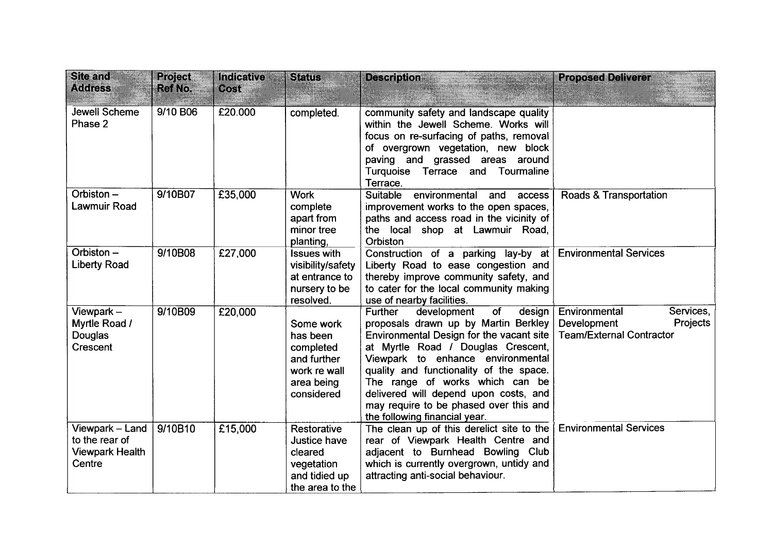| <b>Site and</b><br><b>Address</b>                                     | Project<br>Ref No. | Indicative<br>$\Theta$ okst | <b>Status</b>                                                                                 | <b>Description</b>                                                                                                                                                                                                                                                                                                                                                                                      | <b>Proposed Deliverer</b>                                                                |
|-----------------------------------------------------------------------|--------------------|-----------------------------|-----------------------------------------------------------------------------------------------|---------------------------------------------------------------------------------------------------------------------------------------------------------------------------------------------------------------------------------------------------------------------------------------------------------------------------------------------------------------------------------------------------------|------------------------------------------------------------------------------------------|
| Jewell Scheme<br>Phase 2                                              | 9/10 B06           | £20.000                     | completed.                                                                                    | community safety and landscape quality<br>within the Jewell Scheme. Works will<br>focus on re-surfacing of paths, removal<br>of overgrown vegetation, new block<br>paving and grassed areas around<br>Turquoise Terrace and Tourmaline<br>Terrace.                                                                                                                                                      |                                                                                          |
| Orbiston-<br>Lawmuir Road                                             | 9/10B07            | £35,000                     | <b>Work</b><br>complete<br>apart from<br>minor tree<br>planting,                              | Suitable<br>environmental<br>and<br>access<br>improvement works to the open spaces,<br>paths and access road in the vicinity of<br>the local shop at Lawmuir Road,<br>Orbiston                                                                                                                                                                                                                          | Roads & Transportation                                                                   |
| Orbiston-<br><b>Liberty Road</b>                                      | 9/10B08            | £27,000                     | <b>Issues with</b><br>visibility/safety<br>at entrance to<br>nursery to be<br>resolved.       | Construction of a parking lay-by at<br>Liberty Road to ease congestion and<br>thereby improve community safety, and<br>to cater for the local community making<br>use of nearby facilities.                                                                                                                                                                                                             | <b>Environmental Services</b>                                                            |
| Viewpark $-$<br>Myrtle Road /<br>Douglas<br>Crescent                  | 9/10B09            | £20,000                     | Some work<br>has been<br>completed<br>and further<br>work re wall<br>area being<br>considered | of<br>Further<br>development<br>design<br>proposals drawn up by Martin Berkley<br>Environmental Design for the vacant site<br>at Myrtle Road / Douglas Crescent,<br>Viewpark to enhance environmental<br>quality and functionality of the space.<br>The range of works which can be<br>delivered will depend upon costs, and<br>may require to be phased over this and<br>the following financial year. | Environmental<br>Services,<br>Projects<br>Development<br><b>Team/External Contractor</b> |
| Viewpark - Land<br>to the rear of<br><b>Viewpark Health</b><br>Centre | 9/10B10            | £15,000                     | Restorative<br>Justice have<br>cleared<br>vegetation<br>and tidied up<br>the area to the      | The clean up of this derelict site to the<br>rear of Viewpark Health Centre and<br>adjacent to Burnhead Bowling Club<br>which is currently overgrown, untidy and<br>attracting anti-social behaviour.                                                                                                                                                                                                   | <b>Environmental Services</b>                                                            |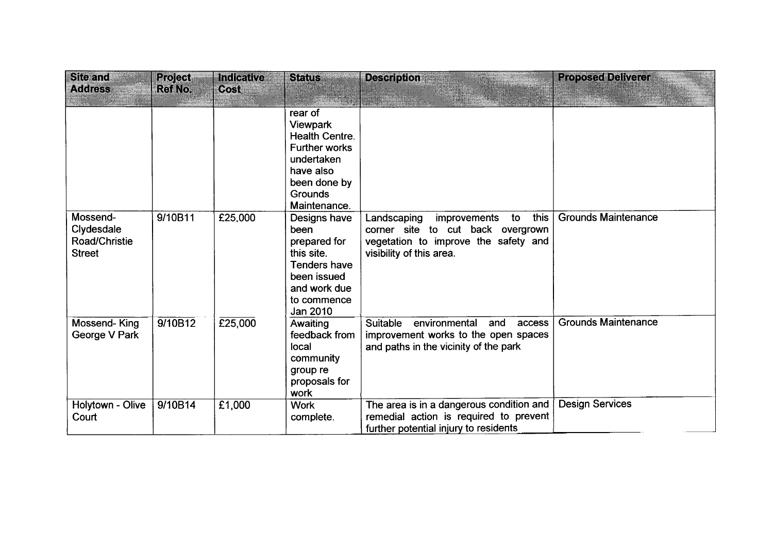| <b>Site and</b><br><b>Address</b>                        | <b>Project</b><br><b>Ref No.</b> | Indicative<br>Cost | <b>Status</b>                                                                                                                                     | <b>Description</b>                                                                                                                                 | <b>Proposed Deliverer</b>  |
|----------------------------------------------------------|----------------------------------|--------------------|---------------------------------------------------------------------------------------------------------------------------------------------------|----------------------------------------------------------------------------------------------------------------------------------------------------|----------------------------|
|                                                          |                                  |                    | rear of<br><b>Viewpark</b><br><b>Health Centre.</b><br><b>Further works</b><br>undertaken<br>have also<br>been done by<br>Grounds<br>Maintenance. |                                                                                                                                                    |                            |
| Mossend-<br>Clydesdale<br>Road/Christie<br><b>Street</b> | 9/10B11                          | £25,000            | Designs have<br>been<br>prepared for<br>this site.<br>Tenders have<br>been issued<br>and work due<br>to commence<br>Jan 2010                      | this<br>Landscaping<br>to<br>improvements<br>corner site to cut back overgrown<br>vegetation to improve the safety and<br>visibility of this area. | <b>Grounds Maintenance</b> |
| Mossend-King<br>George V Park                            | 9/10B12                          | E25,000            | Awaiting<br>feedback from<br>local<br>community<br>group re<br>proposals for<br>work                                                              | <b>Suitable</b><br>environmental<br>access<br>and<br>improvement works to the open spaces<br>and paths in the vicinity of the park                 | <b>Grounds Maintenance</b> |
| Holytown - Olive<br>Court                                | 9/10B14                          | £1,000             | <b>Work</b><br>complete.                                                                                                                          | The area is in a dangerous condition and<br>remedial action is required to prevent<br>further potential injury to residents                        | <b>Design Services</b>     |